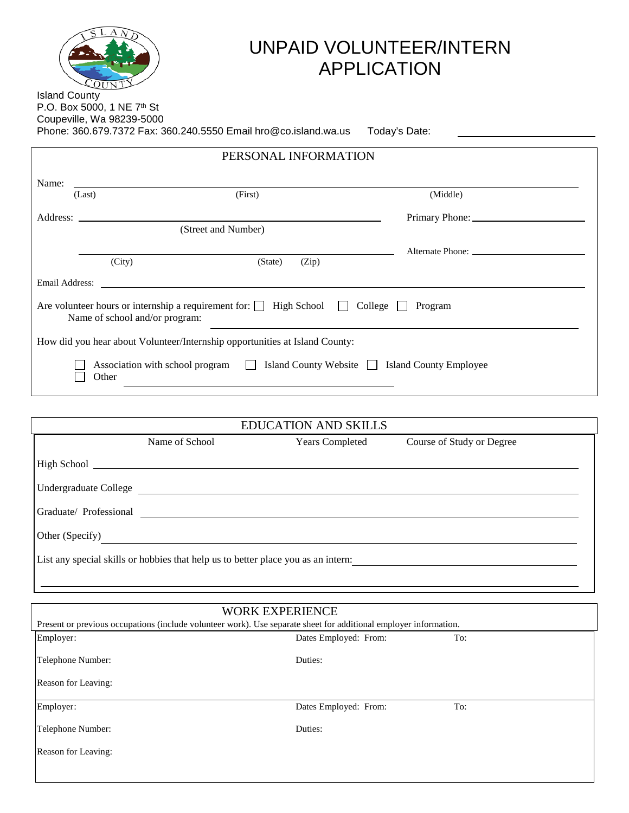

## UNPAID VOLUNTEER/INTERN APPLICATION

Island County P.O. Box 5000, 1 NE 7<sup>th</sup> St Coupeville, Wa 98239-5000 Phone: 360.679.7372 Fax: 360.240.5550 Email hro@co.island.wa.us Today's Date:

| PERSONAL INFORMATION                                                                               |        |                                                                                                                                                                                                                                |                  |  |  |
|----------------------------------------------------------------------------------------------------|--------|--------------------------------------------------------------------------------------------------------------------------------------------------------------------------------------------------------------------------------|------------------|--|--|
| Name:                                                                                              |        |                                                                                                                                                                                                                                |                  |  |  |
|                                                                                                    | (Last) | (First)                                                                                                                                                                                                                        | (Middle)         |  |  |
|                                                                                                    |        |                                                                                                                                                                                                                                |                  |  |  |
|                                                                                                    |        | (Street and Number)                                                                                                                                                                                                            |                  |  |  |
|                                                                                                    |        |                                                                                                                                                                                                                                | Alternate Phone: |  |  |
|                                                                                                    | (City) | (Zip)<br>(State)                                                                                                                                                                                                               |                  |  |  |
|                                                                                                    |        | Email Address: No. 2016. The Contract of the Contract of the Contract of the Contract of the Contract of the Contract of the Contract of the Contract of the Contract of the Contract of the Contract of the Contract of the C |                  |  |  |
|                                                                                                    |        | Are volunteer hours or internship a requirement for: $\Box$ High School $\Box$ College $\Box$ Program<br>Name of school and/or program:                                                                                        |                  |  |  |
|                                                                                                    |        | How did you hear about Volunteer/Internship opportunities at Island County:                                                                                                                                                    |                  |  |  |
| Island County Website Siland County Employee<br>Association with school program<br>$\Box$<br>Other |        |                                                                                                                                                                                                                                |                  |  |  |

|                                                                                   |                | <b>EDUCATION AND SKILLS</b> |                           |  |  |
|-----------------------------------------------------------------------------------|----------------|-----------------------------|---------------------------|--|--|
|                                                                                   | Name of School | <b>Years Completed</b>      | Course of Study or Degree |  |  |
|                                                                                   |                |                             |                           |  |  |
| <b>Undergraduate College</b>                                                      |                |                             |                           |  |  |
| Graduate/ Professional                                                            |                |                             |                           |  |  |
| Other (Specify)                                                                   |                |                             |                           |  |  |
| List any special skills or hobbies that help us to better place you as an intern: |                |                             |                           |  |  |

| <b>WORK EXPERIENCE</b><br>Present or previous occupations (include volunteer work). Use separate sheet for additional employer information. |                       |     |  |
|---------------------------------------------------------------------------------------------------------------------------------------------|-----------------------|-----|--|
| Employer:                                                                                                                                   | Dates Employed: From: | To: |  |
| Telephone Number:                                                                                                                           | Duties:               |     |  |
| Reason for Leaving:                                                                                                                         |                       |     |  |
| Employer:                                                                                                                                   | Dates Employed: From: | To: |  |
| Telephone Number:                                                                                                                           | Duties:               |     |  |
| Reason for Leaving:                                                                                                                         |                       |     |  |
|                                                                                                                                             |                       |     |  |